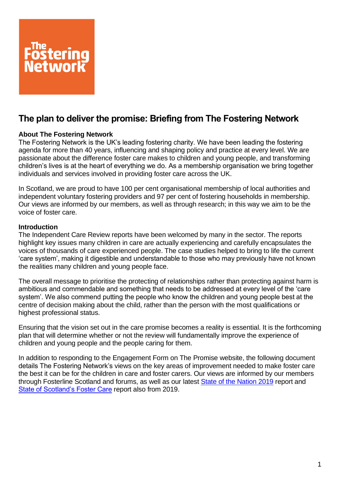

# **The plan to deliver the promise: Briefing from The Fostering Network**

### **About The Fostering Network**

The Fostering Network is the UK's leading fostering charity. We have been leading the fostering agenda for more than 40 years, influencing and shaping policy and practice at every level. We are passionate about the difference foster care makes to children and young people, and transforming children's lives is at the heart of everything we do. As a membership organisation we bring together individuals and services involved in providing foster care across the UK.

In Scotland, we are proud to have 100 per cent organisational membership of local authorities and independent voluntary fostering providers and 97 per cent of fostering households in membership. Our views are informed by our members, as well as through research; in this way we aim to be the voice of foster care.

#### **Introduction**

The Independent Care Review reports have been welcomed by many in the sector. The reports highlight key issues many children in care are actually experiencing and carefully encapsulates the voices of thousands of care experienced people. The case studies helped to bring to life the current 'care system', making it digestible and understandable to those who may previously have not known the realities many children and young people face.

The overall message to prioritise the protecting of relationships rather than protecting against harm is ambitious and commendable and something that needs to be addressed at every level of the 'care system'. We also commend putting the people who know the children and young people best at the centre of decision making about the child, rather than the person with the most qualifications or highest professional status.

Ensuring that the vision set out in the care promise becomes a reality is essential. It is the forthcoming plan that will determine whether or not the review will fundamentally improve the experience of children and young people and the people caring for them.

In addition to responding to the Engagement Form on The Promise website, the following document details The Fostering Network's views on the key areas of improvement needed to make foster care the best it can be for the children in care and foster carers. Our views are informed by our members through Fosterline Scotland and forums, as well as our latest [State of the Nation 2019](https://www.thefosteringnetwork.org.uk/sites/www.fostering.net/files/content/stateofthenationsfostercarefullreport.pdf) report and [State of Scotland's Foster Care](https://www.thefosteringnetwork.org.uk/policy-practice/research/state-nations-foster-care-2019/state-scotlands-foster-care-2019) report also from 2019.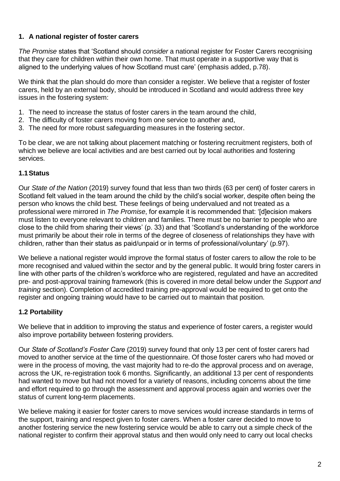### **1. A national register of foster carers**

*The Promise* states that 'Scotland should *consider* a national register for Foster Carers recognising that they care for children within their own home. That must operate in a supportive way that is aligned to the underlying values of how Scotland must care' (emphasis added, p.78).

We think that the plan should do more than consider a register. We believe that a register of foster carers, held by an external body, should be introduced in Scotland and would address three key issues in the fostering system:

- 1. The need to increase the status of foster carers in the team around the child,
- 2. The difficulty of foster carers moving from one service to another and,
- 3. The need for more robust safeguarding measures in the fostering sector.

To be clear, we are not talking about placement matching or fostering recruitment registers, both of which we believe are local activities and are best carried out by local authorities and fostering services.

### **1.1Status**

Our *State of the Nation* (2019) survey found that less than two thirds (63 per cent) of foster carers in Scotland felt valued in the team around the child by the child's social worker, despite often being the person who knows the child best. These feelings of being undervalued and not treated as a professional were mirrored in *The Promise*, for example it is recommended that: '[d]ecision makers must listen to everyone relevant to children and families. There must be no barrier to people who are close to the child from sharing their views' (p. 33) and that 'Scotland's understanding of the workforce must primarily be about their role in terms of the degree of closeness of relationships they have with children, rather than their status as paid/unpaid or in terms of professional/voluntary' (p.97).

We believe a national register would improve the formal status of foster carers to allow the role to be more recognised and valued within the sector and by the general public. It would bring foster carers in line with other parts of the children's workforce who are registered, regulated and have an accredited pre- and post-approval training framework (this is covered in more detail below under the *Support and training* section). Completion of accredited training pre-approval would be required to get onto the register and ongoing training would have to be carried out to maintain that position.

### **1.2 Portability**

We believe that in addition to improving the status and experience of foster carers, a register would also improve portability between fostering providers.

Our *State of Scotland's Foster Care* (2019) survey found that only 13 per cent of foster carers had moved to another service at the time of the questionnaire. Of those foster carers who had moved or were in the process of moving, the vast majority had to re-do the approval process and on average, across the UK, re-registration took 6 months. Significantly, an additional 13 per cent of respondents had wanted to move but had not moved for a variety of reasons, including concerns about the time and effort required to go through the assessment and approval process again and worries over the status of current long-term placements.

We believe making it easier for foster carers to move services would increase standards in terms of the support, training and respect given to foster carers. When a foster carer decided to move to another fostering service the new fostering service would be able to carry out a simple check of the national register to confirm their approval status and then would only need to carry out local checks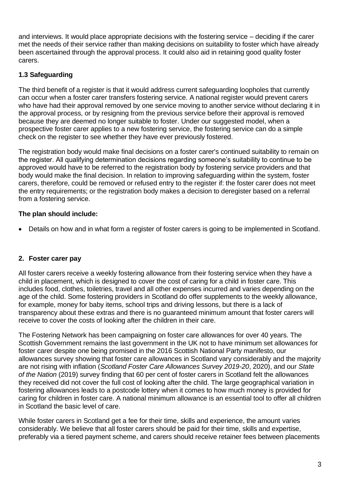and interviews. It would place appropriate decisions with the fostering service – deciding if the carer met the needs of their service rather than making decisions on suitability to foster which have already been ascertained through the approval process. It could also aid in retaining good quality foster carers.

# **1.3 Safeguarding**

The third benefit of a register is that it would address current safeguarding loopholes that currently can occur when a foster carer transfers fostering service. A national register would prevent carers who have had their approval removed by one service moving to another service without declaring it in the approval process, or by resigning from the previous service before their approval is removed because they are deemed no longer suitable to foster. Under our suggested model, when a prospective foster carer applies to a new fostering service, the fostering service can do a simple check on the register to see whether they have ever previously fostered.

The registration body would make final decisions on a foster carer's continued suitability to remain on the register. All qualifying determination decisions regarding someone's suitability to continue to be approved would have to be referred to the registration body by fostering service providers and that body would make the final decision. In relation to improving safeguarding within the system, foster carers, therefore, could be removed or refused entry to the register if: the foster carer does not meet the entry requirements; or the registration body makes a decision to deregister based on a referral from a fostering service.

# **The plan should include:**

• Details on how and in what form a register of foster carers is going to be implemented in Scotland.

### **2. Foster carer pay**

All foster carers receive a weekly fostering allowance from their fostering service when they have a child in placement, which is designed to cover the cost of caring for a child in foster care. This includes food, clothes, toiletries, travel and all other expenses incurred and varies depending on the age of the child. Some fostering providers in Scotland do offer supplements to the weekly allowance, for example, money for baby items, school trips and driving lessons, but there is a lack of transparency about these extras and there is no guaranteed minimum amount that foster carers will receive to cover the costs of looking after the children in their care.

The Fostering Network has been campaigning on foster care allowances for over 40 years. The Scottish Government remains the last government in the UK not to have minimum set allowances for foster carer despite one being promised in the 2016 Scottish National Party manifesto, our allowances survey showing that foster care allowances in Scotland vary considerably and the majority are not rising with inflation (*Scotland Foster Care Allowances Survey 2019-20*, 2020), and our *State of the Nation* (2019) survey finding that 60 per cent of foster carers in Scotland felt the allowances they received did not cover the full cost of looking after the child. The large geographical variation in fostering allowances leads to a postcode lottery when it comes to how much money is provided for caring for children in foster care. A national minimum allowance is an essential tool to offer all children in Scotland the basic level of care.

While foster carers in Scotland get a fee for their time, skills and experience, the amount varies considerably. We believe that all foster carers should be paid for their time, skills and expertise, preferably via a tiered payment scheme, and carers should receive retainer fees between placements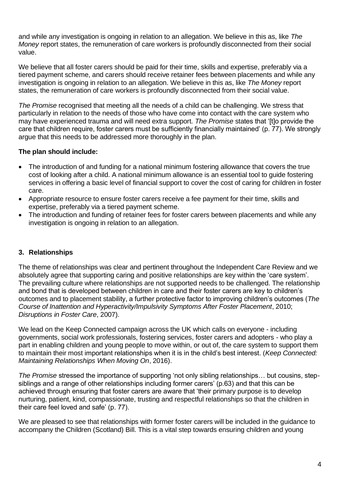and while any investigation is ongoing in relation to an allegation. We believe in this as, like *The Money* report states, the remuneration of care workers is profoundly disconnected from their social value.

We believe that all foster carers should be paid for their time, skills and expertise, preferably via a tiered payment scheme, and carers should receive retainer fees between placements and while any investigation is ongoing in relation to an allegation. We believe in this as, like *The Money* report states, the remuneration of care workers is profoundly disconnected from their social value.

*The Promise* recognised that meeting all the needs of a child can be challenging. We stress that particularly in relation to the needs of those who have come into contact with the care system who may have experienced trauma and will need extra support. *The Promise* states that '[t]o provide the care that children require, foster carers must be sufficiently financially maintained' (p. 77). We strongly argue that this needs to be addressed more thoroughly in the plan.

### **The plan should include:**

- The introduction of and funding for a national minimum fostering allowance that covers the true cost of looking after a child. A national minimum allowance is an essential tool to guide fostering services in offering a basic level of financial support to cover the cost of caring for children in foster care.
- Appropriate resource to ensure foster carers receive a fee payment for their time, skills and expertise, preferably via a tiered payment scheme.
- The introduction and funding of retainer fees for foster carers between placements and while any investigation is ongoing in relation to an allegation.

### **3. Relationships**

The theme of relationships was clear and pertinent throughout the Independent Care Review and we absolutely agree that supporting caring and positive relationships are key within the 'care system'. The prevailing culture where relationships are not supported needs to be challenged. The relationship and bond that is developed between children in care and their foster carers are key to children's outcomes and to placement stability, a further protective factor to improving children's outcomes (*The Course of Inattention and Hyperactivity/Impulsivity Symptoms After Foster Placement*, 2010; *Disruptions in Foster Care*, 2007).

We lead on the Keep Connected campaign across the UK which calls on everyone - including governments, social work professionals, fostering services, foster carers and adopters - who play a part in enabling children and young people to move within, or out of, the care system to support them to maintain their most important relationships when it is in the child's best interest. (*Keep Connected: Maintaining Relationships When Moving On*, 2016).

*The Promise* stressed the importance of supporting 'not only sibling relationships… but cousins, stepsiblings and a range of other relationships including former carers' (p.63) and that this can be achieved through ensuring that foster carers are aware that 'their primary purpose is to develop nurturing, patient, kind, compassionate, trusting and respectful relationships so that the children in their care feel loved and safe' (p. 77).

We are pleased to see that relationships with former foster carers will be included in the quidance to accompany the Children (Scotland) Bill. This is a vital step towards ensuring children and young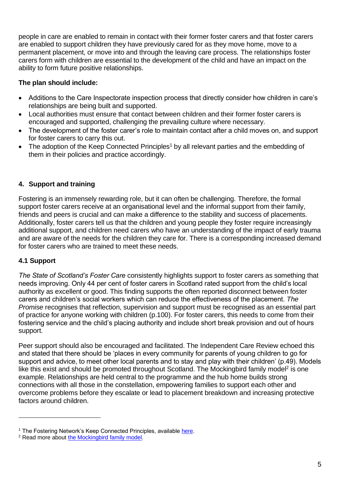people in care are enabled to remain in contact with their former foster carers and that foster carers are enabled to support children they have previously cared for as they move home, move to a permanent placement, or move into and through the leaving care process. The relationships foster carers form with children are essential to the development of the child and have an impact on the ability to form future positive relationships.

# **The plan should include:**

- Additions to the Care Inspectorate inspection process that directly consider how children in care's relationships are being built and supported.
- Local authorities must ensure that contact between children and their former foster carers is encouraged and supported, challenging the prevailing culture where necessary.
- The development of the foster carer's role to maintain contact after a child moves on, and support for foster carers to carry this out.
- The adoption of the Keep Connected Principles<sup>1</sup> by all relevant parties and the embedding of them in their policies and practice accordingly.

# **4. Support and training**

Fostering is an immensely rewarding role, but it can often be challenging. Therefore, the formal support foster carers receive at an organisational level and the informal support from their family, friends and peers is crucial and can make a difference to the stability and success of placements. Additionally, foster carers tell us that the children and young people they foster require increasingly additional support, and children need carers who have an understanding of the impact of early trauma and are aware of the needs for the children they care for. There is a corresponding increased demand for foster carers who are trained to meet these needs.

### **4.1 Support**

*The State of Scotland's Foster Care* consistently highlights support to foster carers as something that needs improving. Only 44 per cent of foster carers in Scotland rated support from the child's local authority as excellent or good. This finding supports the often reported disconnect between foster carers and children's social workers which can reduce the effectiveness of the placement. *The Promise* recognises that reflection, supervision and support must be recognised as an essential part of practice for anyone working with children (p.100). For foster carers, this needs to come from their fostering service and the child's placing authority and include short break provision and out of hours support.

Peer support should also be encouraged and facilitated. The Independent Care Review echoed this and stated that there should be 'places in every community for parents of young children to go for support and advice, to meet other local parents and to stay and play with their children' (p.49). Models like this exist and should be promoted throughout Scotland. The Mockingbird family model<sup>2</sup> is one example. Relationships are held central to the programme and the hub home builds strong connections with all those in the constellation, empowering families to support each other and overcome problems before they escalate or lead to placement breakdown and increasing protective factors around children.

<sup>&</sup>lt;sup>1</sup> The Fostering Network's Keep Connected Principles, available [here.](https://www.thefosteringnetwork.org.uk/sites/www.fostering.net/files/content/keepconnectedprinciples.pdf)

<sup>&</sup>lt;sup>2</sup> Read more abou[t the Mockingbird family model.](https://www.thefosteringnetwork.org.uk/policy-practice/projects-and-programmes/mockingbird-programme)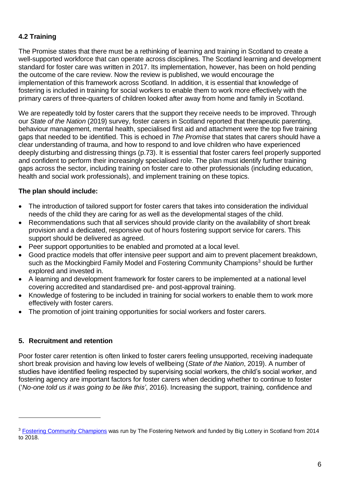### **4.2 Training**

The Promise states that there must be a rethinking of learning and training in Scotland to create a well-supported workforce that can operate across disciplines. The Scotland learning and development standard for foster care was written in 2017. Its implementation, however, has been on hold pending the outcome of the care review. Now the review is published, we would encourage the implementation of this framework across Scotland. In addition, it is essential that knowledge of fostering is included in training for social workers to enable them to work more effectively with the primary carers of three-quarters of children looked after away from home and family in Scotland.

We are repeatedly told by foster carers that the support they receive needs to be improved. Through our *State of the Nation* (2019) survey, foster carers in Scotland reported that therapeutic parenting, behaviour management, mental health, specialised first aid and attachment were the top five training gaps that needed to be identified. This is echoed in *The Promise* that states that carers should have a clear understanding of trauma, and how to respond to and love children who have experienced deeply disturbing and distressing things (p.73). It is essential that foster carers feel properly supported and confident to perform their increasingly specialised role. The plan must identify further training gaps across the sector, including training on foster care to other professionals (including education, health and social work professionals), and implement training on these topics.

### **The plan should include:**

- The introduction of tailored support for foster carers that takes into consideration the individual needs of the child they are caring for as well as the developmental stages of the child.
- Recommendations such that all services should provide clarity on the availability of short break provision and a dedicated, responsive out of hours fostering support service for carers. This support should be delivered as agreed.
- Peer support opportunities to be enabled and promoted at a local level.
- Good practice models that offer intensive peer support and aim to prevent placement breakdown, such as the Mockingbird Family Model and Fostering Community Champions<sup>3</sup> should be further explored and invested in.
- A learning and development framework for foster carers to be implemented at a national level covering accredited and standardised pre- and post-approval training.
- Knowledge of fostering to be included in training for social workers to enable them to work more effectively with foster carers.
- The promotion of joint training opportunities for social workers and foster carers.

### **5. Recruitment and retention**

Poor foster carer retention is often linked to foster carers feeling unsupported, receiving inadequate short break provision and having low levels of wellbeing (*State of the Nation*, 2019). A number of studies have identified feeling respected by supervising social workers, the child's social worker, and fostering agency are important factors for foster carers when deciding whether to continue to foster ('*No-one told us it was going to be like this'*, 2016). Increasing the support, training, confidence and

<sup>&</sup>lt;sup>3</sup> [Fostering Community Champions](https://www.thefosteringnetwork.org.uk/policy-practice/programmes-and-projects/fostering-community-champions) was run by The Fostering Network and funded by Big Lottery in Scotland from 2014 to 2018.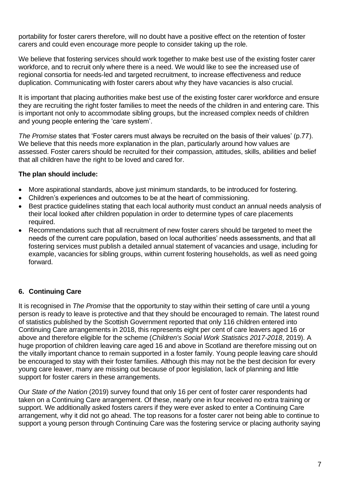portability for foster carers therefore, will no doubt have a positive effect on the retention of foster carers and could even encourage more people to consider taking up the role.

We believe that fostering services should work together to make best use of the existing foster carer workforce, and to recruit only where there is a need. We would like to see the increased use of regional consortia for needs-led and targeted recruitment, to increase effectiveness and reduce duplication. Communicating with foster carers about why they have vacancies is also crucial.

It is important that placing authorities make best use of the existing foster carer workforce and ensure they are recruiting the right foster families to meet the needs of the children in and entering care. This is important not only to accommodate sibling groups, but the increased complex needs of children and young people entering the 'care system'.

*The Promise* states that 'Foster carers must always be recruited on the basis of their values' (p.77). We believe that this needs more explanation in the plan, particularly around how values are assessed. Foster carers should be recruited for their compassion, attitudes, skills, abilities and belief that all children have the right to be loved and cared for.

### **The plan should include:**

- More aspirational standards, above just minimum standards, to be introduced for fostering.
- Children's experiences and outcomes to be at the heart of commissioning.
- Best practice guidelines stating that each local authority must conduct an annual needs analysis of their local looked after children population in order to determine types of care placements required.
- Recommendations such that all recruitment of new foster carers should be targeted to meet the needs of the current care population, based on local authorities' needs assessments, and that all fostering services must publish a detailed annual statement of vacancies and usage, including for example, vacancies for sibling groups, within current fostering households, as well as need going forward.

### **6. Continuing Care**

It is recognised in *The Promise* that the opportunity to stay within their setting of care until a young person is ready to leave is protective and that they should be encouraged to remain. The latest round of statistics published by the Scottish Government reported that only 116 children entered into Continuing Care arrangements in 2018, this represents eight per cent of care leavers aged 16 or above and therefore eligible for the scheme (*Children's Social Work Statistics 2017-2018*, 2019). A huge proportion of children leaving care aged 16 and above in Scotland are therefore missing out on the vitally important chance to remain supported in a foster family. Young people leaving care should be encouraged to stay with their foster families. Although this may not be the best decision for every young care leaver, many are missing out because of poor legislation, lack of planning and little support for foster carers in these arrangements.

Our *State of the Nation* (2019) survey found that only 16 per cent of foster carer respondents had taken on a Continuing Care arrangement. Of these, nearly one in four received no extra training or support. We additionally asked fosters carers if they were ever asked to enter a Continuing Care arrangement, why it did not go ahead. The top reasons for a foster carer not being able to continue to support a young person through Continuing Care was the fostering service or placing authority saying